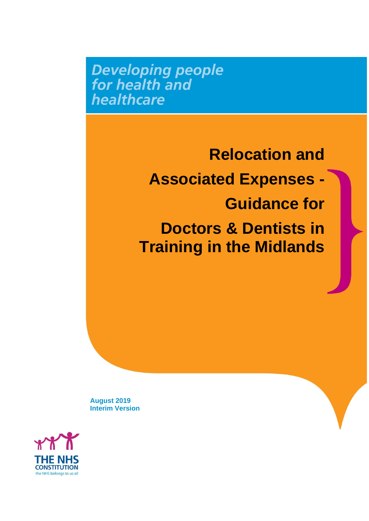**Developing people**<br>for health and healthcare

> **Relocation and Associated Expenses - Guidance for Doctors & Dentists in Training in the Midlands**

**August 2019 Interim Version**

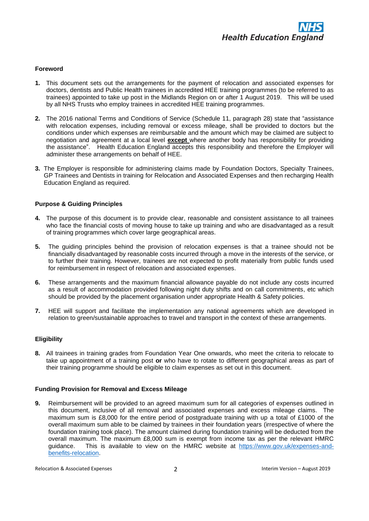

# **Foreword**

- **1.** This document sets out the arrangements for the payment of relocation and associated expenses for doctors, dentists and Public Health trainees in accredited HEE training programmes (to be referred to as trainees) appointed to take up post in the Midlands Region on or after 1 August 2019. This will be used by all NHS Trusts who employ trainees in accredited HEE training programmes.
- **2.** The 2016 national Terms and Conditions of Service (Schedule 11, paragraph 28) state that "assistance with relocation expenses, including removal or excess mileage, shall be provided to doctors but the conditions under which expenses are reimbursable and the amount which may be claimed are subject to negotiation and agreement at a local level **except** where another body has responsibility for providing the assistance". Health Education England accepts this responsibility and therefore the Employer will administer these arrangements on behalf of HEE.
- **3.** The Employer is responsible for administering claims made by Foundation Doctors, Specialty Trainees, GP Trainees and Dentists in training for Relocation and Associated Expenses and then recharging Health Education England as required.

# **Purpose & Guiding Principles**

- **4.** The purpose of this document is to provide clear, reasonable and consistent assistance to all trainees who face the financial costs of moving house to take up training and who are disadvantaged as a result of training programmes which cover large geographical areas.
- **5.** The guiding principles behind the provision of relocation expenses is that a trainee should not be financially disadvantaged by reasonable costs incurred through a move in the interests of the service, or to further their training. However, trainees are not expected to profit materially from public funds used for reimbursement in respect of relocation and associated expenses.
- **6.** These arrangements and the maximum financial allowance payable do not include any costs incurred as a result of accommodation provided following night duty shifts and on call commitments, etc which should be provided by the placement organisation under appropriate Health & Safety policies.
- **7.** HEE will support and facilitate the implementation any national agreements which are developed in relation to green/sustainable approaches to travel and transport in the context of these arrangements.

# **Eligibility**

**8.** All trainees in training grades from Foundation Year One onwards, who meet the criteria to relocate to take up appointment of a training post **or** who have to rotate to different geographical areas as part of their training programme should be eligible to claim expenses as set out in this document.

# **Funding Provision for Removal and Excess Mileage**

**9.** Reimbursement will be provided to an agreed maximum sum for all categories of expenses outlined in this document, inclusive of all removal and associated expenses and excess mileage claims. The maximum sum is £8,000 for the entire period of postgraduate training with up a total of £1000 of the overall maximum sum able to be claimed by trainees in their foundation years (irrespective of where the foundation training took place). The amount claimed during foundation training will be deducted from the overall maximum. The maximum £8,000 sum is exempt from income tax as per the relevant HMRC guidance. This is available to view on the HMRC website at [https://www.gov.uk/expenses-and](https://www.gov.uk/expenses-and-benefits-relocation)[benefits-relocation.](https://www.gov.uk/expenses-and-benefits-relocation)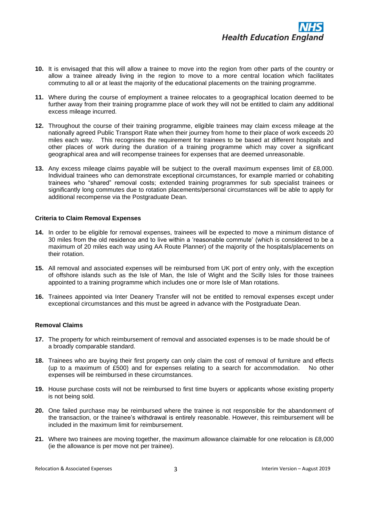

- **10.** It is envisaged that this will allow a trainee to move into the region from other parts of the country or allow a trainee already living in the region to move to a more central location which facilitates commuting to all or at least the majority of the educational placements on the training programme.
- **11.** Where during the course of employment a trainee relocates to a geographical location deemed to be further away from their training programme place of work they will not be entitled to claim any additional excess mileage incurred.
- **12.** Throughout the course of their training programme, eligible trainees may claim excess mileage at the nationally agreed Public Transport Rate when their journey from home to their place of work exceeds 20 miles each way. This recognises the requirement for trainees to be based at different hospitals and other places of work during the duration of a training programme which may cover a significant geographical area and will recompense trainees for expenses that are deemed unreasonable.
- **13.** Any excess mileage claims payable will be subject to the overall maximum expenses limit of £8,000. Individual trainees who can demonstrate exceptional circumstances, for example married or cohabiting trainees who "shared" removal costs; extended training programmes for sub specialist trainees or significantly long commutes due to rotation placements/personal circumstances will be able to apply for additional recompense via the Postgraduate Dean.

# **Criteria to Claim Removal Expenses**

- **14.** In order to be eligible for removal expenses, trainees will be expected to move a minimum distance of 30 miles from the old residence and to live within a 'reasonable commute' (which is considered to be a maximum of 20 miles each way using AA Route Planner) of the majority of the hospitals/placements on their rotation.
- **15.** All removal and associated expenses will be reimbursed from UK port of entry only, with the exception of offshore islands such as the Isle of Man, the Isle of Wight and the Scilly Isles for those trainees appointed to a training programme which includes one or more Isle of Man rotations.
- **16.** Trainees appointed via Inter Deanery Transfer will not be entitled to removal expenses except under exceptional circumstances and this must be agreed in advance with the Postgraduate Dean.

#### **Removal Claims**

- **17.** The property for which reimbursement of removal and associated expenses is to be made should be of a broadly comparable standard.
- **18.** Trainees who are buying their first property can only claim the cost of removal of furniture and effects (up to a maximum of £500) and for expenses relating to a search for accommodation. No other expenses will be reimbursed in these circumstances.
- **19.** House purchase costs will not be reimbursed to first time buyers or applicants whose existing property is not being sold.
- **20.** One failed purchase may be reimbursed where the trainee is not responsible for the abandonment of the transaction, or the trainee's withdrawal is entirely reasonable. However, this reimbursement will be included in the maximum limit for reimbursement.
- **21.** Where two trainees are moving together, the maximum allowance claimable for one relocation is £8,000 (ie the allowance is per move not per trainee).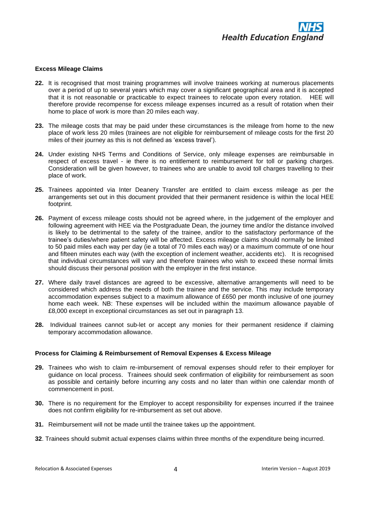

# **Excess Mileage Claims**

- **22.** It is recognised that most training programmes will involve trainees working at numerous placements over a period of up to several years which may cover a significant geographical area and it is accepted that it is not reasonable or practicable to expect trainees to relocate upon every rotation. HEE will therefore provide recompense for excess mileage expenses incurred as a result of rotation when their home to place of work is more than 20 miles each way.
- **23.** The mileage costs that may be paid under these circumstances is the mileage from home to the new place of work less 20 miles (trainees are not eligible for reimbursement of mileage costs for the first 20 miles of their journey as this is not defined as 'excess travel').
- **24.** Under existing NHS Terms and Conditions of Service, only mileage expenses are reimbursable in respect of excess travel - ie there is no entitlement to reimbursement for toll or parking charges. Consideration will be given however, to trainees who are unable to avoid toll charges travelling to their place of work.
- **25.** Trainees appointed via Inter Deanery Transfer are entitled to claim excess mileage as per the arrangements set out in this document provided that their permanent residence is within the local HEE footprint.
- **26.** Payment of excess mileage costs should not be agreed where, in the judgement of the employer and following agreement with HEE via the Postgraduate Dean, the journey time and/or the distance involved is likely to be detrimental to the safety of the trainee, and/or to the satisfactory performance of the trainee's duties/where patient safety will be affected. Excess mileage claims should normally be limited to 50 paid miles each way per day (ie a total of 70 miles each way) or a maximum commute of one hour and fifteen minutes each way (with the exception of inclement weather, accidents etc). It is recognised that individual circumstances will vary and therefore trainees who wish to exceed these normal limits should discuss their personal position with the employer in the first instance.
- **27.** Where daily travel distances are agreed to be excessive, alternative arrangements will need to be considered which address the needs of both the trainee and the service. This may include temporary accommodation expenses subject to a maximum allowance of £650 per month inclusive of one journey home each week. NB: These expenses will be included within the maximum allowance payable of £8,000 except in exceptional circumstances as set out in paragraph 13.
- **28.** Individual trainees cannot sub-let or accept any monies for their permanent residence if claiming temporary accommodation allowance.

#### **Process for Claiming & Reimbursement of Removal Expenses & Excess Mileage**

- **29.** Trainees who wish to claim re-imbursement of removal expenses should refer to their employer for guidance on local process. Trainees should seek confirmation of eligibility for reimbursement as soon as possible and certainly before incurring any costs and no later than within one calendar month of commencement in post.
- **30.** There is no requirement for the Employer to accept responsibility for expenses incurred if the trainee does not confirm eligibility for re-imbursement as set out above.
- **31.** Reimbursement will not be made until the trainee takes up the appointment.
- **32**. Trainees should submit actual expenses claims within three months of the expenditure being incurred.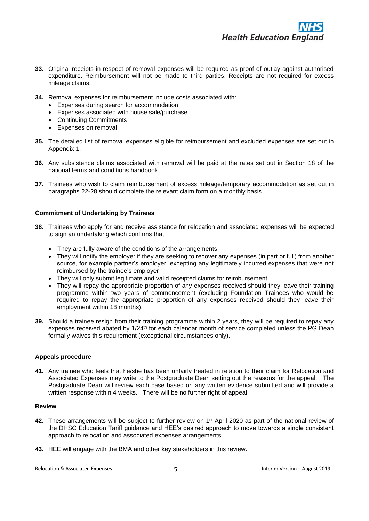

- **33.** Original receipts in respect of removal expenses will be required as proof of outlay against authorised expenditure. Reimbursement will not be made to third parties. Receipts are not required for excess mileage claims.
- **34.** Removal expenses for reimbursement include costs associated with:
	- Expenses during search for accommodation
	- Expenses associated with house sale/purchase
	- Continuing Commitments
	- Expenses on removal
- **35.** The detailed list of removal expenses eligible for reimbursement and excluded expenses are set out in Appendix 1.
- **36.** Any subsistence claims associated with removal will be paid at the rates set out in Section 18 of the national terms and conditions handbook.
- **37.** Trainees who wish to claim reimbursement of excess mileage/temporary accommodation as set out in paragraphs 22-28 should complete the relevant claim form on a monthly basis.

### **Commitment of Undertaking by Trainees**

- **38.** Trainees who apply for and receive assistance for relocation and associated expenses will be expected to sign an undertaking which confirms that:
	- They are fully aware of the conditions of the arrangements
	- They will notify the employer if they are seeking to recover any expenses (in part or full) from another source, for example partner's employer, excepting any legitimately incurred expenses that were not reimbursed by the trainee's employer
	- They will only submit legitimate and valid receipted claims for reimbursement
	- They will repay the appropriate proportion of any expenses received should they leave their training programme within two years of commencement (excluding Foundation Trainees who would be required to repay the appropriate proportion of any expenses received should they leave their employment within 18 months).
- **39.** Should a trainee resign from their training programme within 2 years, they will be required to repay any expenses received abated by 1/24<sup>th</sup> for each calendar month of service completed unless the PG Dean formally waives this requirement (exceptional circumstances only).

#### **Appeals procedure**

**41.** Any trainee who feels that he/she has been unfairly treated in relation to their claim for Relocation and Associated Expenses may write to the Postgraduate Dean setting out the reasons for the appeal. The Postgraduate Dean will review each case based on any written evidence submitted and will provide a written response within 4 weeks. There will be no further right of appeal.

### **Review**

- **42.** These arrangements will be subject to further review on 1st April 2020 as part of the national review of the DHSC Education Tariff guidance and HEE's desired approach to move towards a single consistent approach to relocation and associated expenses arrangements.
- **43.** HEE will engage with the BMA and other key stakeholders in this review.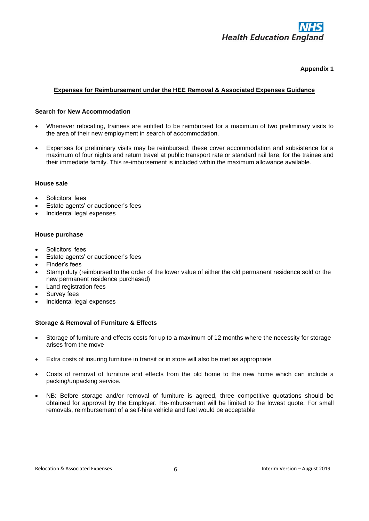

# **Appendix 1**

# **Expenses for Reimbursement under the HEE Removal & Associated Expenses Guidance**

# **Search for New Accommodation**

- Whenever relocating, trainees are entitled to be reimbursed for a maximum of two preliminary visits to the area of their new employment in search of accommodation.
- Expenses for preliminary visits may be reimbursed; these cover accommodation and subsistence for a maximum of four nights and return travel at public transport rate or standard rail fare, for the trainee and their immediate family. This re-imbursement is included within the maximum allowance available.

# **House sale**

- Solicitors' fees
- Estate agents' or auctioneer's fees
- Incidental legal expenses

### **House purchase**

- Solicitors' fees
- Estate agents' or auctioneer's fees
- Finder's fees
- Stamp duty (reimbursed to the order of the lower value of either the old permanent residence sold or the new permanent residence purchased)
- Land registration fees
- Survey fees
- Incidental legal expenses

# **Storage & Removal of Furniture & Effects**

- Storage of furniture and effects costs for up to a maximum of 12 months where the necessity for storage arises from the move
- Extra costs of insuring furniture in transit or in store will also be met as appropriate
- Costs of removal of furniture and effects from the old home to the new home which can include a packing/unpacking service.
- NB: Before storage and/or removal of furniture is agreed, three competitive quotations should be obtained for approval by the Employer. Re-imbursement will be limited to the lowest quote. For small removals, reimbursement of a self-hire vehicle and fuel would be acceptable